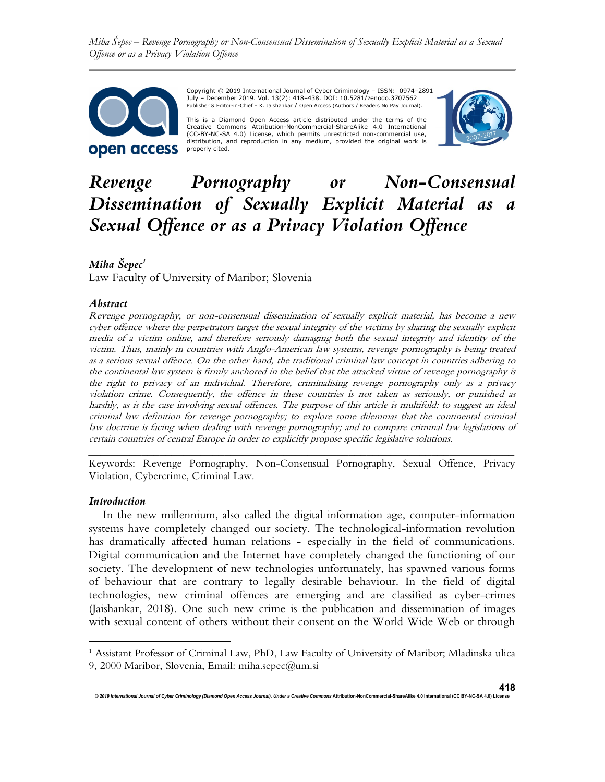Miha Šepec – Revenge Pornography or Non-Consensual Dissemination of Sexually Explicit Material as a Sexual Offence or as a Privacy Violation Offence



Copyright © 2019 International Journal of Cyber Criminology – ISSN: 0974–2891 July – December 2019. Vol. 13(2): 418–438. DOI: 10.5281/zenodo.3707562 Publisher & Editor-in-Chief – K. Jaishankar / Open Access (Authors / Readers No Pay Journal).

This is a Diamond Open Access article distributed under the terms of the Creative Commons Attribution-NonCommercial-ShareAlike 4.0 International (CC-BY-NC-SA 4.0) License, which permits unrestricted non-commercial use, distribution, and reproduction in any medium, provided the original work is properly cited.



# Revenge Pornography or Non-Consensual Dissemination of Sexually Explicit Material as a Sexual Offence or as a Privacy Violation Offence

# Miha Šepec<sup>1</sup>

Law Faculty of University of Maribor; Slovenia

#### Abstract

Revenge pornography, or non-consensual dissemination of sexually explicit material, has become a new cyber offence where the perpetrators target the sexual integrity of the victims by sharing the sexually explicit media of a victim online, and therefore seriously damaging both the sexual integrity and identity of the victim. Thus, mainly in countries with Anglo-American law systems, revenge pornography is being treated as a serious sexual offence. On the other hand, the traditional criminal law concept in countries adhering to the continental law system is firmly anchored in the belief that the attacked virtue of revenge pornography is the right to privacy of an individual. Therefore, criminalising revenge pornography only as a privacy violation crime. Consequently, the offence in these countries is not taken as seriously, or punished as harshly, as is the case involving sexual offences. The purpose of this article is multifold: to suggest an ideal criminal law definition for revenge pornography; to explore some dilemmas that the continental criminal law doctrine is facing when dealing with revenge pornography; and to compare criminal law legislations of certain countries of central Europe in order to explicitly propose specific legislative solutions.

\_\_\_\_\_\_\_\_\_\_\_\_\_\_\_\_\_\_\_\_\_\_\_\_\_\_\_\_\_\_\_\_\_\_\_\_\_\_\_\_\_\_\_\_\_\_\_\_\_\_\_\_\_\_\_\_\_\_\_\_\_\_\_\_\_\_\_\_\_\_\_\_ Keywords: Revenge Pornography, Non-Consensual Pornography, Sexual Offence, Privacy Violation, Cybercrime, Criminal Law.

#### Introduction

In the new millennium, also called the digital information age, computer-information systems have completely changed our society. The technological-information revolution has dramatically affected human relations - especially in the field of communications. Digital communication and the Internet have completely changed the functioning of our society. The development of new technologies unfortunately, has spawned various forms of behaviour that are contrary to legally desirable behaviour. In the field of digital technologies, new criminal offences are emerging and are classified as cyber-crimes (Jaishankar, 2018). One such new crime is the publication and dissemination of images with sexual content of others without their consent on the World Wide Web or through

<sup>&</sup>lt;sup>1</sup> Assistant Professor of Criminal Law, PhD, Law Faculty of University of Maribor; Mladinska ulica 9, 2000 Maribor, Slovenia, Email: miha.sepec@um.si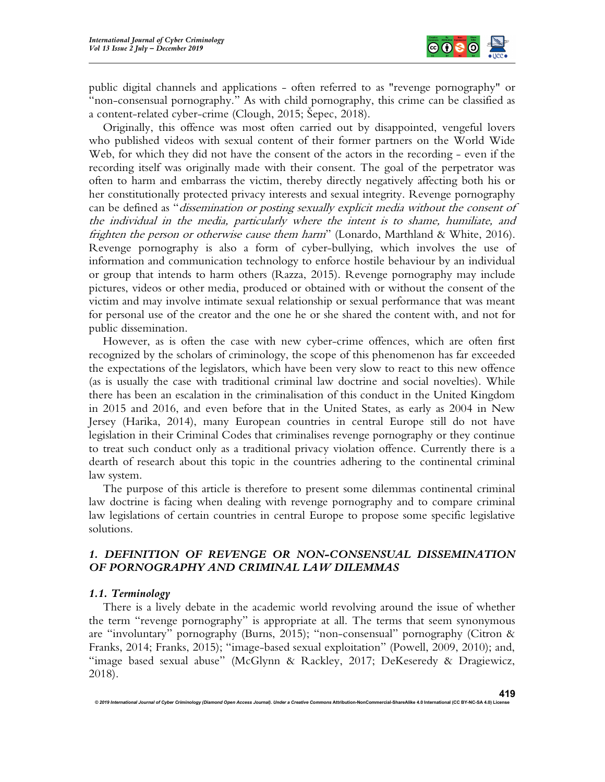

public digital channels and applications - often referred to as "revenge pornography" or "non-consensual pornography." As with child pornography, this crime can be classified as a content-related cyber-crime (Clough, 2015; Šepec, 2018).

Originally, this offence was most often carried out by disappointed, vengeful lovers who published videos with sexual content of their former partners on the World Wide Web, for which they did not have the consent of the actors in the recording - even if the recording itself was originally made with their consent. The goal of the perpetrator was often to harm and embarrass the victim, thereby directly negatively affecting both his or her constitutionally protected privacy interests and sexual integrity. Revenge pornography can be defined as "dissemination or posting sexually explicit media without the consent of the individual in the media, particularly where the intent is to shame, humiliate, and frighten the person or otherwise cause them harm" (Lonardo, Marthland & White, 2016). Revenge pornography is also a form of cyber-bullying, which involves the use of information and communication technology to enforce hostile behaviour by an individual or group that intends to harm others (Razza, 2015). Revenge pornography may include pictures, videos or other media, produced or obtained with or without the consent of the victim and may involve intimate sexual relationship or sexual performance that was meant for personal use of the creator and the one he or she shared the content with, and not for public dissemination.

However, as is often the case with new cyber-crime offences, which are often first recognized by the scholars of criminology, the scope of this phenomenon has far exceeded the expectations of the legislators, which have been very slow to react to this new offence (as is usually the case with traditional criminal law doctrine and social novelties). While there has been an escalation in the criminalisation of this conduct in the United Kingdom in 2015 and 2016, and even before that in the United States, as early as 2004 in New Jersey (Harika, 2014), many European countries in central Europe still do not have legislation in their Criminal Codes that criminalises revenge pornography or they continue to treat such conduct only as a traditional privacy violation offence. Currently there is a dearth of research about this topic in the countries adhering to the continental criminal law system.

The purpose of this article is therefore to present some dilemmas continental criminal law doctrine is facing when dealing with revenge pornography and to compare criminal law legislations of certain countries in central Europe to propose some specific legislative solutions.

# 1. DEFINITION OF REVENGE OR NON-CONSENSUAL DISSEMINATION OF PORNOGRAPHY AND CRIMINAL LAW DILEMMAS

#### 1.1. Terminology

There is a lively debate in the academic world revolving around the issue of whether the term "revenge pornography" is appropriate at all. The terms that seem synonymous are "involuntary" pornography (Burns, 2015); "non-consensual" pornography (Citron & Franks, 2014; Franks, 2015); "image-based sexual exploitation" (Powell, 2009, 2010); and, "image based sexual abuse" (McGlynn & Rackley, 2017; DeKeseredy & Dragiewicz, 2018).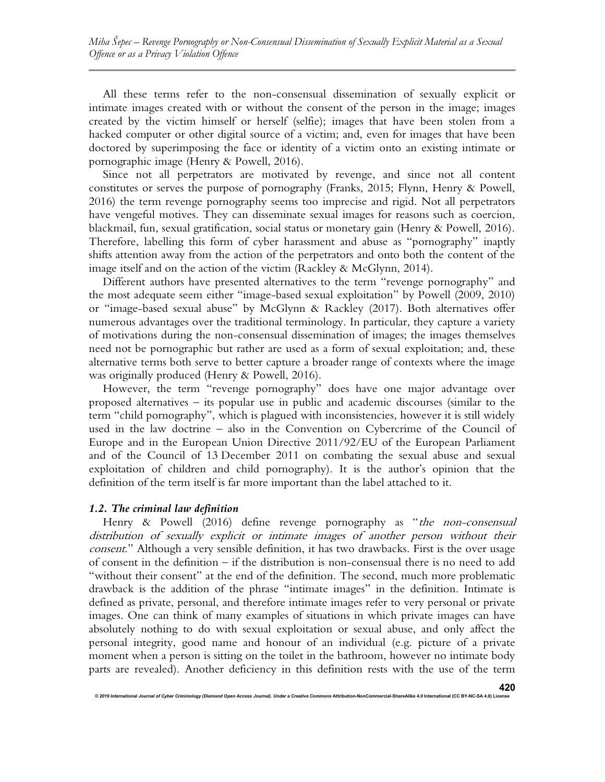All these terms refer to the non-consensual dissemination of sexually explicit or intimate images created with or without the consent of the person in the image; images created by the victim himself or herself (selfie); images that have been stolen from a hacked computer or other digital source of a victim; and, even for images that have been doctored by superimposing the face or identity of a victim onto an existing intimate or pornographic image (Henry & Powell, 2016).

Since not all perpetrators are motivated by revenge, and since not all content constitutes or serves the purpose of pornography (Franks, 2015; Flynn, Henry & Powell, 2016) the term revenge pornography seems too imprecise and rigid. Not all perpetrators have vengeful motives. They can disseminate sexual images for reasons such as coercion, blackmail, fun, sexual gratification, social status or monetary gain (Henry & Powell, 2016). Therefore, labelling this form of cyber harassment and abuse as "pornography" inaptly shifts attention away from the action of the perpetrators and onto both the content of the image itself and on the action of the victim (Rackley & McGlynn, 2014).

Different authors have presented alternatives to the term "revenge pornography" and the most adequate seem either "image-based sexual exploitation" by Powell (2009, 2010) or "image-based sexual abuse" by McGlynn & Rackley (2017). Both alternatives offer numerous advantages over the traditional terminology. In particular, they capture a variety of motivations during the non-consensual dissemination of images; the images themselves need not be pornographic but rather are used as a form of sexual exploitation; and, these alternative terms both serve to better capture a broader range of contexts where the image was originally produced (Henry & Powell, 2016).

However, the term "revenge pornography" does have one major advantage over proposed alternatives – its popular use in public and academic discourses (similar to the term "child pornography", which is plagued with inconsistencies, however it is still widely used in the law doctrine – also in the Convention on Cybercrime of the Council of Europe and in the European Union Directive 2011/92/EU of the European Parliament and of the Council of 13 December 2011 on combating the sexual abuse and sexual exploitation of children and child pornography). It is the author's opinion that the definition of the term itself is far more important than the label attached to it.

#### 1.2. The criminal law definition

© 2019 International Journal of Cyber Criminology (Diamond Open Access Journal). Under a Creative Com

Henry & Powell (2016) define revenge pornography as "the non-consensual distribution of sexually explicit or intimate images of another person without their consent." Although a very sensible definition, it has two drawbacks. First is the over usage of consent in the definition – if the distribution is non-consensual there is no need to add "without their consent" at the end of the definition. The second, much more problematic drawback is the addition of the phrase "intimate images" in the definition. Intimate is defined as private, personal, and therefore intimate images refer to very personal or private images. One can think of many examples of situations in which private images can have absolutely nothing to do with sexual exploitation or sexual abuse, and only affect the personal integrity, good name and honour of an individual (e.g. picture of a private moment when a person is sitting on the toilet in the bathroom, however no intimate body parts are revealed). Another deficiency in this definition rests with the use of the term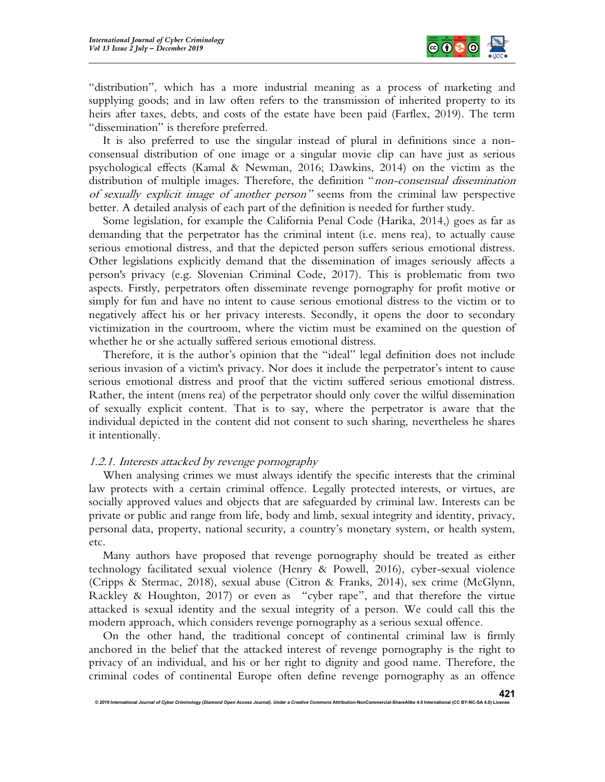

"distribution", which has a more industrial meaning as a process of marketing and supplying goods; and in law often refers to the transmission of inherited property to its heirs after taxes, debts, and costs of the estate have been paid (Farflex, 2019). The term "dissemination" is therefore preferred.

It is also preferred to use the singular instead of plural in definitions since a nonconsensual distribution of one image or a singular movie clip can have just as serious psychological effects (Kamal & Newman, 2016; Dawkins, 2014) on the victim as the distribution of multiple images. Therefore, the definition "non-consensual dissemination of sexually explicit image of another person" seems from the criminal law perspective better. A detailed analysis of each part of the definition is needed for further study.

Some legislation, for example the California Penal Code (Harika, 2014,) goes as far as demanding that the perpetrator has the criminal intent (i.e. mens rea), to actually cause serious emotional distress, and that the depicted person suffers serious emotional distress. Other legislations explicitly demand that the dissemination of images seriously affects a person's privacy (e.g. Slovenian Criminal Code, 2017). This is problematic from two aspects. Firstly, perpetrators often disseminate revenge pornography for profit motive or simply for fun and have no intent to cause serious emotional distress to the victim or to negatively affect his or her privacy interests. Secondly, it opens the door to secondary victimization in the courtroom, where the victim must be examined on the question of whether he or she actually suffered serious emotional distress.

Therefore, it is the author's opinion that the "ideal" legal definition does not include serious invasion of a victim's privacy. Nor does it include the perpetrator's intent to cause serious emotional distress and proof that the victim suffered serious emotional distress. Rather, the intent (mens rea) of the perpetrator should only cover the wilful dissemination of sexually explicit content. That is to say, where the perpetrator is aware that the individual depicted in the content did not consent to such sharing, nevertheless he shares it intentionally.

#### 1.2.1. Interests attacked by revenge pornography

When analysing crimes we must always identify the specific interests that the criminal law protects with a certain criminal offence. Legally protected interests, or virtues, are socially approved values and objects that are safeguarded by criminal law. Interests can be private or public and range from life, body and limb, sexual integrity and identity, privacy, personal data, property, national security, a country's monetary system, or health system, etc.

Many authors have proposed that revenge pornography should be treated as either technology facilitated sexual violence (Henry & Powell, 2016), cyber-sexual violence (Cripps & Stermac, 2018), sexual abuse (Citron & Franks, 2014), sex crime (McGlynn, Rackley & Houghton, 2017) or even as "cyber rape", and that therefore the virtue attacked is sexual identity and the sexual integrity of a person. We could call this the modern approach, which considers revenge pornography as a serious sexual offence.

On the other hand, the traditional concept of continental criminal law is firmly anchored in the belief that the attacked interest of revenge pornography is the right to privacy of an individual, and his or her right to dignity and good name. Therefore, the criminal codes of continental Europe often define revenge pornography as an offence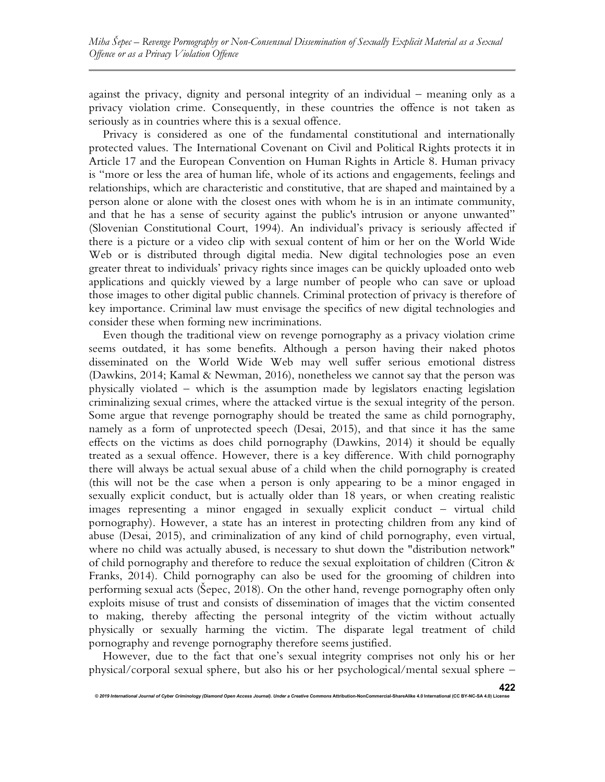against the privacy, dignity and personal integrity of an individual – meaning only as a privacy violation crime. Consequently, in these countries the offence is not taken as seriously as in countries where this is a sexual offence.

Privacy is considered as one of the fundamental constitutional and internationally protected values. The International Covenant on Civil and Political Rights protects it in Article 17 and the European Convention on Human Rights in Article 8. Human privacy is "more or less the area of human life, whole of its actions and engagements, feelings and relationships, which are characteristic and constitutive, that are shaped and maintained by a person alone or alone with the closest ones with whom he is in an intimate community, and that he has a sense of security against the public's intrusion or anyone unwanted" (Slovenian Constitutional Court, 1994). An individual's privacy is seriously affected if there is a picture or a video clip with sexual content of him or her on the World Wide Web or is distributed through digital media. New digital technologies pose an even greater threat to individuals' privacy rights since images can be quickly uploaded onto web applications and quickly viewed by a large number of people who can save or upload those images to other digital public channels. Criminal protection of privacy is therefore of key importance. Criminal law must envisage the specifics of new digital technologies and consider these when forming new incriminations.

Even though the traditional view on revenge pornography as a privacy violation crime seems outdated, it has some benefits. Although a person having their naked photos disseminated on the World Wide Web may well suffer serious emotional distress (Dawkins, 2014; Kamal & Newman, 2016), nonetheless we cannot say that the person was physically violated – which is the assumption made by legislators enacting legislation criminalizing sexual crimes, where the attacked virtue is the sexual integrity of the person. Some argue that revenge pornography should be treated the same as child pornography, namely as a form of unprotected speech (Desai, 2015), and that since it has the same effects on the victims as does child pornography (Dawkins, 2014) it should be equally treated as a sexual offence. However, there is a key difference. With child pornography there will always be actual sexual abuse of a child when the child pornography is created (this will not be the case when a person is only appearing to be a minor engaged in sexually explicit conduct, but is actually older than 18 years, or when creating realistic images representing a minor engaged in sexually explicit conduct – virtual child pornography). However, a state has an interest in protecting children from any kind of abuse (Desai, 2015), and criminalization of any kind of child pornography, even virtual, where no child was actually abused, is necessary to shut down the "distribution network" of child pornography and therefore to reduce the sexual exploitation of children (Citron & Franks, 2014). Child pornography can also be used for the grooming of children into performing sexual acts (Šepec, 2018). On the other hand, revenge pornography often only exploits misuse of trust and consists of dissemination of images that the victim consented to making, thereby affecting the personal integrity of the victim without actually physically or sexually harming the victim. The disparate legal treatment of child pornography and revenge pornography therefore seems justified.

However, due to the fact that one's sexual integrity comprises not only his or her physical/corporal sexual sphere, but also his or her psychological/mental sexual sphere –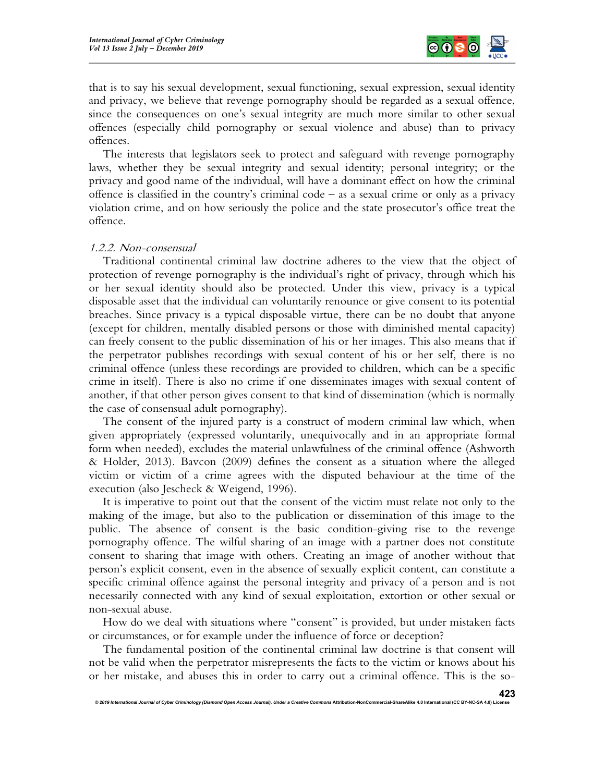

that is to say his sexual development, sexual functioning, sexual expression, sexual identity and privacy, we believe that revenge pornography should be regarded as a sexual offence, since the consequences on one's sexual integrity are much more similar to other sexual offences (especially child pornography or sexual violence and abuse) than to privacy offences.

The interests that legislators seek to protect and safeguard with revenge pornography laws, whether they be sexual integrity and sexual identity; personal integrity; or the privacy and good name of the individual, will have a dominant effect on how the criminal offence is classified in the country's criminal code – as a sexual crime or only as a privacy violation crime, and on how seriously the police and the state prosecutor's office treat the offence.

#### 1.2.2. Non-consensual

Traditional continental criminal law doctrine adheres to the view that the object of protection of revenge pornography is the individual's right of privacy, through which his or her sexual identity should also be protected. Under this view, privacy is a typical disposable asset that the individual can voluntarily renounce or give consent to its potential breaches. Since privacy is a typical disposable virtue, there can be no doubt that anyone (except for children, mentally disabled persons or those with diminished mental capacity) can freely consent to the public dissemination of his or her images. This also means that if the perpetrator publishes recordings with sexual content of his or her self, there is no criminal offence (unless these recordings are provided to children, which can be a specific crime in itself). There is also no crime if one disseminates images with sexual content of another, if that other person gives consent to that kind of dissemination (which is normally the case of consensual adult pornography).

The consent of the injured party is a construct of modern criminal law which, when given appropriately (expressed voluntarily, unequivocally and in an appropriate formal form when needed), excludes the material unlawfulness of the criminal offence (Ashworth & Holder, 2013). Bavcon (2009) defines the consent as a situation where the alleged victim or victim of a crime agrees with the disputed behaviour at the time of the execution (also Jescheck & Weigend, 1996).

It is imperative to point out that the consent of the victim must relate not only to the making of the image, but also to the publication or dissemination of this image to the public. The absence of consent is the basic condition-giving rise to the revenge pornography offence. The wilful sharing of an image with a partner does not constitute consent to sharing that image with others. Creating an image of another without that person's explicit consent, even in the absence of sexually explicit content, can constitute a specific criminal offence against the personal integrity and privacy of a person and is not necessarily connected with any kind of sexual exploitation, extortion or other sexual or non-sexual abuse.

How do we deal with situations where "consent" is provided, but under mistaken facts or circumstances, or for example under the influence of force or deception?

The fundamental position of the continental criminal law doctrine is that consent will not be valid when the perpetrator misrepresents the facts to the victim or knows about his or her mistake, and abuses this in order to carry out a criminal offence. This is the so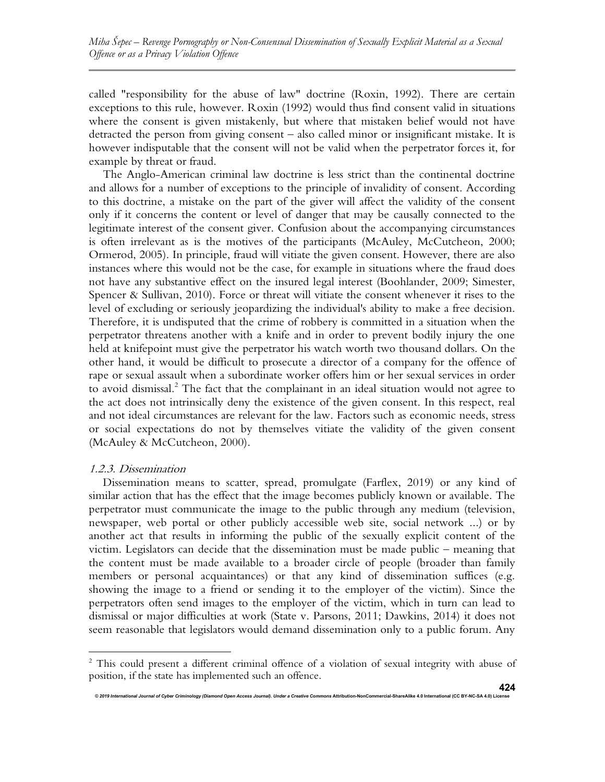called "responsibility for the abuse of law" doctrine (Roxin, 1992). There are certain exceptions to this rule, however. Roxin (1992) would thus find consent valid in situations where the consent is given mistakenly, but where that mistaken belief would not have detracted the person from giving consent – also called minor or insignificant mistake. It is however indisputable that the consent will not be valid when the perpetrator forces it, for example by threat or fraud.

The Anglo-American criminal law doctrine is less strict than the continental doctrine and allows for a number of exceptions to the principle of invalidity of consent. According to this doctrine, a mistake on the part of the giver will affect the validity of the consent only if it concerns the content or level of danger that may be causally connected to the legitimate interest of the consent giver. Confusion about the accompanying circumstances is often irrelevant as is the motives of the participants (McAuley, McCutcheon, 2000; Ormerod, 2005). In principle, fraud will vitiate the given consent. However, there are also instances where this would not be the case, for example in situations where the fraud does not have any substantive effect on the insured legal interest (Boohlander, 2009; Simester, Spencer & Sullivan, 2010). Force or threat will vitiate the consent whenever it rises to the level of excluding or seriously jeopardizing the individual's ability to make a free decision. Therefore, it is undisputed that the crime of robbery is committed in a situation when the perpetrator threatens another with a knife and in order to prevent bodily injury the one held at knifepoint must give the perpetrator his watch worth two thousand dollars. On the other hand, it would be difficult to prosecute a director of a company for the offence of rape or sexual assault when a subordinate worker offers him or her sexual services in order to avoid dismissal.<sup>2</sup> The fact that the complainant in an ideal situation would not agree to the act does not intrinsically deny the existence of the given consent. In this respect, real and not ideal circumstances are relevant for the law. Factors such as economic needs, stress or social expectations do not by themselves vitiate the validity of the given consent (McAuley & McCutcheon, 2000).

#### 1.2.3. Dissemination

Dissemination means to scatter, spread, promulgate (Farflex, 2019) or any kind of similar action that has the effect that the image becomes publicly known or available. The perpetrator must communicate the image to the public through any medium (television, newspaper, web portal or other publicly accessible web site, social network ...) or by another act that results in informing the public of the sexually explicit content of the victim. Legislators can decide that the dissemination must be made public – meaning that the content must be made available to a broader circle of people (broader than family members or personal acquaintances) or that any kind of dissemination suffices (e.g. showing the image to a friend or sending it to the employer of the victim). Since the perpetrators often send images to the employer of the victim, which in turn can lead to dismissal or major difficulties at work (State v. Parsons, 2011; Dawkins, 2014) it does not seem reasonable that legislators would demand dissemination only to a public forum. Any

© 2019 International Journal of Cyber Criminology (Diamond Open Access Journal). Under a Creative Commons Attribution-NonCommercial-ShareAlike 4.0 Internati

<sup>&</sup>lt;sup>2</sup> This could present a different criminal offence of a violation of sexual integrity with abuse of position, if the state has implemented such an offence.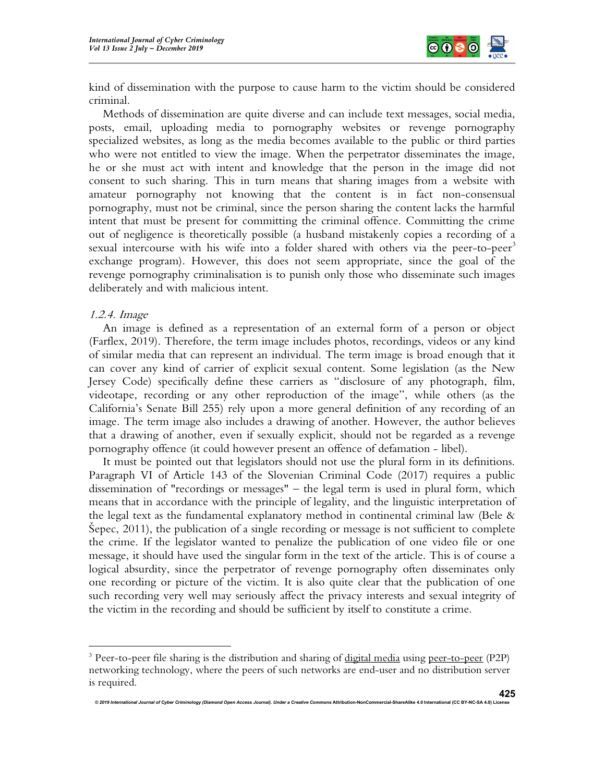

kind of dissemination with the purpose to cause harm to the victim should be considered criminal.

Methods of dissemination are quite diverse and can include text messages, social media, posts, email, uploading media to pornography websites or revenge pornography specialized websites, as long as the media becomes available to the public or third parties who were not entitled to view the image. When the perpetrator disseminates the image, he or she must act with intent and knowledge that the person in the image did not consent to such sharing. This in turn means that sharing images from a website with amateur pornography not knowing that the content is in fact non-consensual pornography, must not be criminal, since the person sharing the content lacks the harmful intent that must be present for committing the criminal offence. Committing the crime out of negligence is theoretically possible (a husband mistakenly copies a recording of a sexual intercourse with his wife into a folder shared with others via the peer-to-peer<sup>3</sup> exchange program). However, this does not seem appropriate, since the goal of the revenge pornography criminalisation is to punish only those who disseminate such images deliberately and with malicious intent.

#### 1.2.4. Image

An image is defined as a representation of an external form of a person or object (Farflex, 2019). Therefore, the term image includes photos, recordings, videos or any kind of similar media that can represent an individual. The term image is broad enough that it can cover any kind of carrier of explicit sexual content. Some legislation (as the New Jersey Code) specifically define these carriers as "disclosure of any photograph, film, videotape, recording or any other reproduction of the image", while others (as the California's Senate Bill 255) rely upon a more general definition of any recording of an image. The term image also includes a drawing of another. However, the author believes that a drawing of another, even if sexually explicit, should not be regarded as a revenge pornography offence (it could however present an offence of defamation - libel).

It must be pointed out that legislators should not use the plural form in its definitions. Paragraph VI of Article 143 of the Slovenian Criminal Code (2017) requires a public dissemination of "recordings or messages" – the legal term is used in plural form, which means that in accordance with the principle of legality, and the linguistic interpretation of the legal text as the fundamental explanatory method in continental criminal law (Bele  $\&$ Šepec, 2011), the publication of a single recording or message is not sufficient to complete the crime. If the legislator wanted to penalize the publication of one video file or one message, it should have used the singular form in the text of the article. This is of course a logical absurdity, since the perpetrator of revenge pornography often disseminates only one recording or picture of the victim. It is also quite clear that the publication of one such recording very well may seriously affect the privacy interests and sexual integrity of the victim in the recording and should be sufficient by itself to constitute a crime.

<sup>&</sup>lt;sup>3</sup> Peer-to-peer file sharing is the distribution and sharing of digital media using peer-to-peer (P2P) networking technology, where the peers of such networks are end-user and no distribution server is required.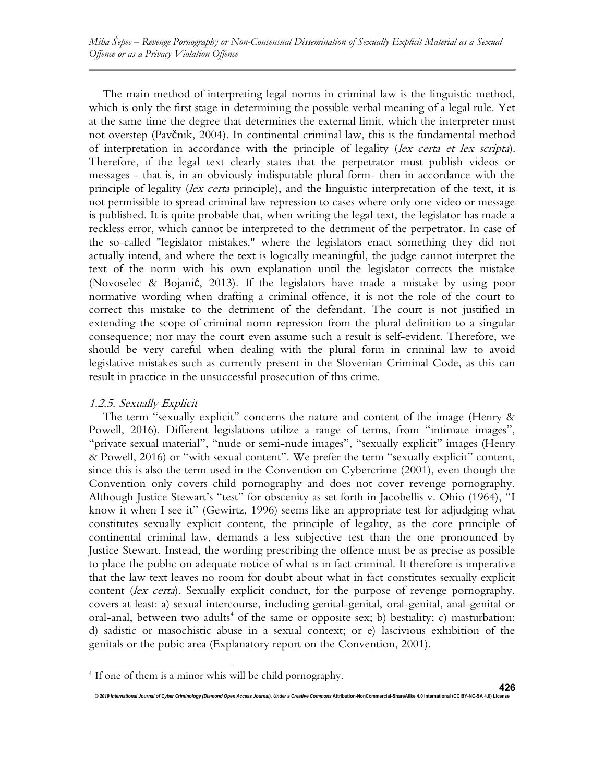The main method of interpreting legal norms in criminal law is the linguistic method, which is only the first stage in determining the possible verbal meaning of a legal rule. Yet at the same time the degree that determines the external limit, which the interpreter must not overstep (Pavčnik, 2004). In continental criminal law, this is the fundamental method of interpretation in accordance with the principle of legality (lex certa et lex scripta). Therefore, if the legal text clearly states that the perpetrator must publish videos or messages - that is, in an obviously indisputable plural form- then in accordance with the principle of legality (lex certa principle), and the linguistic interpretation of the text, it is not permissible to spread criminal law repression to cases where only one video or message is published. It is quite probable that, when writing the legal text, the legislator has made a reckless error, which cannot be interpreted to the detriment of the perpetrator. In case of the so-called "legislator mistakes," where the legislators enact something they did not actually intend, and where the text is logically meaningful, the judge cannot interpret the text of the norm with his own explanation until the legislator corrects the mistake (Novoselec & Bojanić, 2013). If the legislators have made a mistake by using poor normative wording when drafting a criminal offence, it is not the role of the court to correct this mistake to the detriment of the defendant. The court is not justified in extending the scope of criminal norm repression from the plural definition to a singular consequence; nor may the court even assume such a result is self-evident. Therefore, we should be very careful when dealing with the plural form in criminal law to avoid legislative mistakes such as currently present in the Slovenian Criminal Code, as this can result in practice in the unsuccessful prosecution of this crime.

# 1.2.5. Sexually Explicit

The term "sexually explicit" concerns the nature and content of the image (Henry & Powell, 2016). Different legislations utilize a range of terms, from "intimate images", "private sexual material", "nude or semi-nude images", "sexually explicit" images (Henry & Powell, 2016) or "with sexual content". We prefer the term "sexually explicit" content, since this is also the term used in the Convention on Cybercrime (2001), even though the Convention only covers child pornography and does not cover revenge pornography. Although Justice Stewart's "test" for obscenity as set forth in Jacobellis v. Ohio (1964), "I know it when I see it" (Gewirtz, 1996) seems like an appropriate test for adjudging what constitutes sexually explicit content, the principle of legality, as the core principle of continental criminal law, demands a less subjective test than the one pronounced by Justice Stewart. Instead, the wording prescribing the offence must be as precise as possible to place the public on adequate notice of what is in fact criminal. It therefore is imperative that the law text leaves no room for doubt about what in fact constitutes sexually explicit content (lex certa). Sexually explicit conduct, for the purpose of revenge pornography, covers at least: a) sexual intercourse, including genital-genital, oral-genital, anal-genital or oral-anal, between two adults<sup>4</sup> of the same or opposite sex; b) bestiality; c) masturbation; d) sadistic or masochistic abuse in a sexual context; or e) lascivious exhibition of the genitals or the pubic area (Explanatory report on the Convention, 2001).

<sup>4</sup> If one of them is a minor whis will be child pornography.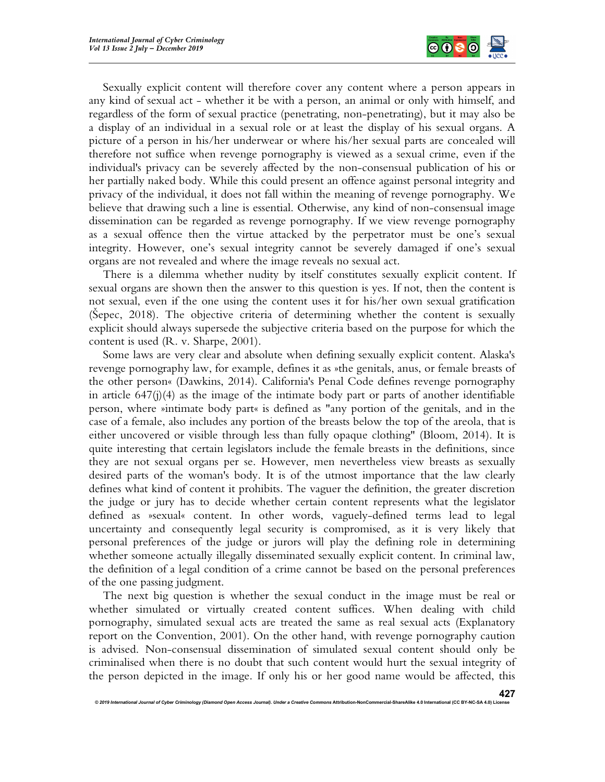

Sexually explicit content will therefore cover any content where a person appears in any kind of sexual act - whether it be with a person, an animal or only with himself, and regardless of the form of sexual practice (penetrating, non-penetrating), but it may also be a display of an individual in a sexual role or at least the display of his sexual organs. A picture of a person in his/her underwear or where his/her sexual parts are concealed will therefore not suffice when revenge pornography is viewed as a sexual crime, even if the individual's privacy can be severely affected by the non-consensual publication of his or her partially naked body. While this could present an offence against personal integrity and privacy of the individual, it does not fall within the meaning of revenge pornography. We believe that drawing such a line is essential. Otherwise, any kind of non-consensual image dissemination can be regarded as revenge pornography. If we view revenge pornography as a sexual offence then the virtue attacked by the perpetrator must be one's sexual integrity. However, one's sexual integrity cannot be severely damaged if one's sexual organs are not revealed and where the image reveals no sexual act.

There is a dilemma whether nudity by itself constitutes sexually explicit content. If sexual organs are shown then the answer to this question is yes. If not, then the content is not sexual, even if the one using the content uses it for his/her own sexual gratification (Šepec, 2018). The objective criteria of determining whether the content is sexually explicit should always supersede the subjective criteria based on the purpose for which the content is used (R. v. Sharpe, 2001).

Some laws are very clear and absolute when defining sexually explicit content. Alaska's revenge pornography law, for example, defines it as »the genitals, anus, or female breasts of the other person« (Dawkins, 2014). California's Penal Code defines revenge pornography in article  $647(j)(4)$  as the image of the intimate body part or parts of another identifiable person, where »intimate body part« is defined as "any portion of the genitals, and in the case of a female, also includes any portion of the breasts below the top of the areola, that is either uncovered or visible through less than fully opaque clothing" (Bloom, 2014). It is quite interesting that certain legislators include the female breasts in the definitions, since they are not sexual organs per se. However, men nevertheless view breasts as sexually desired parts of the woman's body. It is of the utmost importance that the law clearly defines what kind of content it prohibits. The vaguer the definition, the greater discretion the judge or jury has to decide whether certain content represents what the legislator defined as »sexual« content. In other words, vaguely-defined terms lead to legal uncertainty and consequently legal security is compromised, as it is very likely that personal preferences of the judge or jurors will play the defining role in determining whether someone actually illegally disseminated sexually explicit content. In criminal law, the definition of a legal condition of a crime cannot be based on the personal preferences of the one passing judgment.

The next big question is whether the sexual conduct in the image must be real or whether simulated or virtually created content suffices. When dealing with child pornography, simulated sexual acts are treated the same as real sexual acts (Explanatory report on the Convention, 2001). On the other hand, with revenge pornography caution is advised. Non-consensual dissemination of simulated sexual content should only be criminalised when there is no doubt that such content would hurt the sexual integrity of the person depicted in the image. If only his or her good name would be affected, this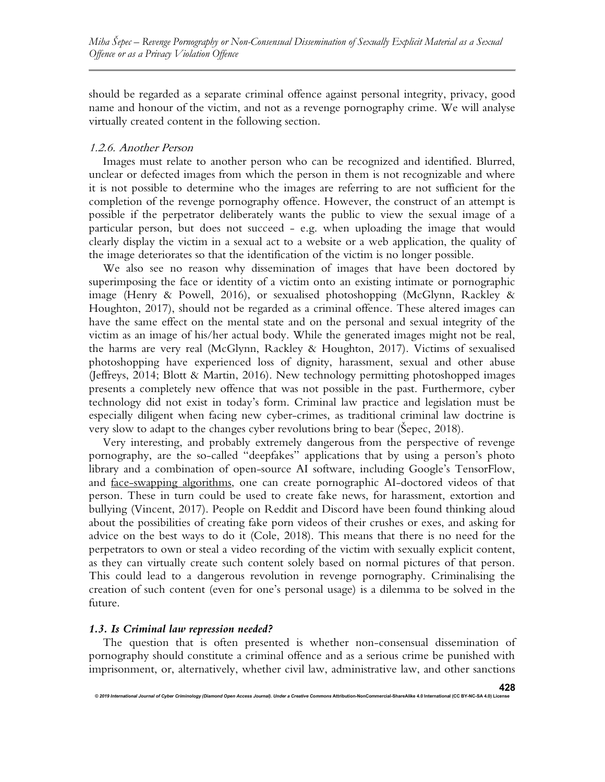should be regarded as a separate criminal offence against personal integrity, privacy, good name and honour of the victim, and not as a revenge pornography crime. We will analyse virtually created content in the following section.

#### 1.2.6. Another Person

Images must relate to another person who can be recognized and identified. Blurred, unclear or defected images from which the person in them is not recognizable and where it is not possible to determine who the images are referring to are not sufficient for the completion of the revenge pornography offence. However, the construct of an attempt is possible if the perpetrator deliberately wants the public to view the sexual image of a particular person, but does not succeed - e.g. when uploading the image that would clearly display the victim in a sexual act to a website or a web application, the quality of the image deteriorates so that the identification of the victim is no longer possible.

We also see no reason why dissemination of images that have been doctored by superimposing the face or identity of a victim onto an existing intimate or pornographic image (Henry & Powell, 2016), or sexualised photoshopping (McGlynn, Rackley & Houghton, 2017), should not be regarded as a criminal offence. These altered images can have the same effect on the mental state and on the personal and sexual integrity of the victim as an image of his/her actual body. While the generated images might not be real, the harms are very real (McGlynn, Rackley & Houghton, 2017). Victims of sexualised photoshopping have experienced loss of dignity, harassment, sexual and other abuse (Jeffreys, 2014; Blott & Martin, 2016). New technology permitting photoshopped images presents a completely new offence that was not possible in the past. Furthermore, cyber technology did not exist in today's form. Criminal law practice and legislation must be especially diligent when facing new cyber-crimes, as traditional criminal law doctrine is very slow to adapt to the changes cyber revolutions bring to bear (Šepec, 2018).

Very interesting, and probably extremely dangerous from the perspective of revenge pornography, are the so-called "deepfakes" applications that by using a person's photo library and a combination of open-source AI software, including Google's TensorFlow, and face-swapping algorithms, one can create pornographic AI-doctored videos of that person. These in turn could be used to create fake news, for harassment, extortion and bullying (Vincent, 2017). People on Reddit and Discord have been found thinking aloud about the possibilities of creating fake porn videos of their crushes or exes, and asking for advice on the best ways to do it (Cole, 2018). This means that there is no need for the perpetrators to own or steal a video recording of the victim with sexually explicit content, as they can virtually create such content solely based on normal pictures of that person. This could lead to a dangerous revolution in revenge pornography. Criminalising the creation of such content (even for one's personal usage) is a dilemma to be solved in the future.

# 1.3. Is Criminal law repression needed?

© 2019 International Journal of Cyber Criminology (Diamond Open Access Journal). Under a Creative Comr

The question that is often presented is whether non-consensual dissemination of pornography should constitute a criminal offence and as a serious crime be punished with imprisonment, or, alternatively, whether civil law, administrative law, and other sanctions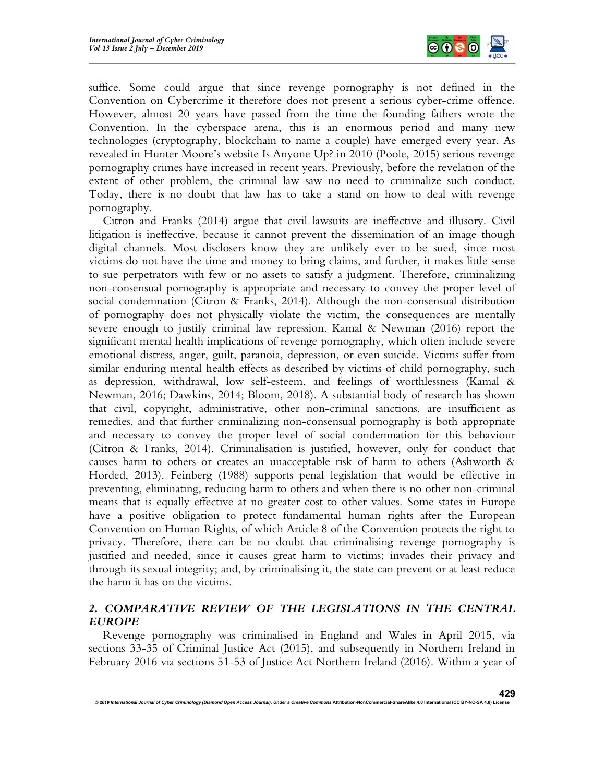

suffice. Some could argue that since revenge pornography is not defined in the Convention on Cybercrime it therefore does not present a serious cyber-crime offence. However, almost 20 years have passed from the time the founding fathers wrote the Convention. In the cyberspace arena, this is an enormous period and many new technologies (cryptography, blockchain to name a couple) have emerged every year. As revealed in Hunter Moore's website Is Anyone Up? in 2010 (Poole, 2015) serious revenge pornography crimes have increased in recent years. Previously, before the revelation of the extent of other problem, the criminal law saw no need to criminalize such conduct. Today, there is no doubt that law has to take a stand on how to deal with revenge pornography.

Citron and Franks (2014) argue that civil lawsuits are ineffective and illusory. Civil litigation is ineffective, because it cannot prevent the dissemination of an image though digital channels. Most disclosers know they are unlikely ever to be sued, since most victims do not have the time and money to bring claims, and further, it makes little sense to sue perpetrators with few or no assets to satisfy a judgment. Therefore, criminalizing non-consensual pornography is appropriate and necessary to convey the proper level of social condemnation (Citron & Franks, 2014). Although the non-consensual distribution of pornography does not physically violate the victim, the consequences are mentally severe enough to justify criminal law repression. Kamal & Newman (2016) report the significant mental health implications of revenge pornography, which often include severe emotional distress, anger, guilt, paranoia, depression, or even suicide. Victims suffer from similar enduring mental health effects as described by victims of child pornography, such as depression, withdrawal, low self-esteem, and feelings of worthlessness (Kamal & Newman, 2016; Dawkins, 2014; Bloom, 2018). A substantial body of research has shown that civil, copyright, administrative, other non-criminal sanctions, are insufficient as remedies, and that further criminalizing non-consensual pornography is both appropriate and necessary to convey the proper level of social condemnation for this behaviour (Citron & Franks, 2014). Criminalisation is justified, however, only for conduct that causes harm to others or creates an unacceptable risk of harm to others (Ashworth & Horded, 2013). Feinberg (1988) supports penal legislation that would be effective in preventing, eliminating, reducing harm to others and when there is no other non-criminal means that is equally effective at no greater cost to other values. Some states in Europe have a positive obligation to protect fundamental human rights after the European Convention on Human Rights, of which Article 8 of the Convention protects the right to privacy. Therefore, there can be no doubt that criminalising revenge pornography is justified and needed, since it causes great harm to victims; invades their privacy and through its sexual integrity; and, by criminalising it, the state can prevent or at least reduce the harm it has on the victims.

# 2. COMPARATIVE REVIEW OF THE LEGISLATIONS IN THE CENTRAL EUROPE

Revenge pornography was criminalised in England and Wales in April 2015, via sections 33-35 of Criminal Justice Act (2015), and subsequently in Northern Ireland in February 2016 via sections 51-53 of Justice Act Northern Ireland (2016). Within a year of

© 2019 International Journal of Cyber Criminology (Diamond Open Access Journal). Under a Creative Commons Attribution-NonCommercial-ShareAlike 4.0 International (CC BY-NC-SA 4.0) Licens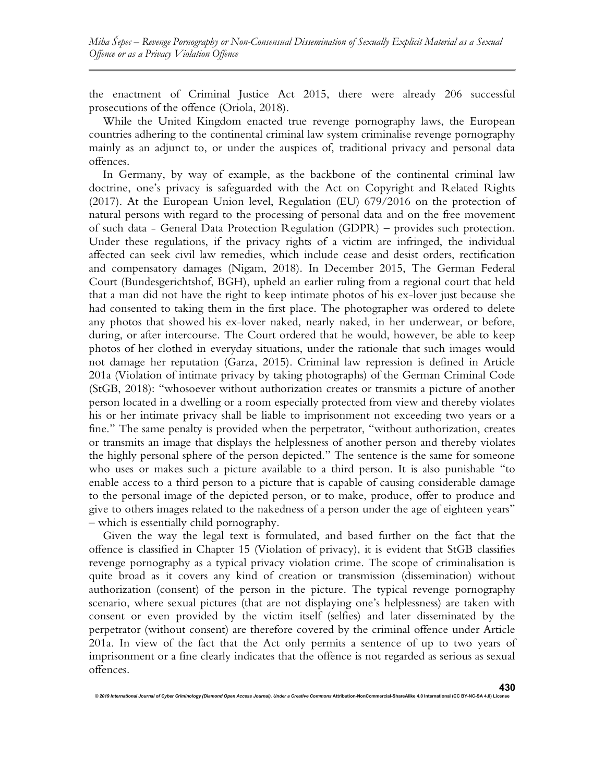the enactment of Criminal Justice Act 2015, there were already 206 successful prosecutions of the offence (Oriola, 2018).

While the United Kingdom enacted true revenge pornography laws, the European countries adhering to the continental criminal law system criminalise revenge pornography mainly as an adjunct to, or under the auspices of, traditional privacy and personal data offences.

In Germany, by way of example, as the backbone of the continental criminal law doctrine, one's privacy is safeguarded with the Act on Copyright and Related Rights (2017). At the European Union level, Regulation (EU) 679/2016 on the protection of natural persons with regard to the processing of personal data and on the free movement of such data - General Data Protection Regulation (GDPR) – provides such protection. Under these regulations, if the privacy rights of a victim are infringed, the individual affected can seek civil law remedies, which include cease and desist orders, rectification and compensatory damages (Nigam, 2018). In December 2015, The German Federal Court (Bundesgerichtshof, BGH), upheld an earlier ruling from a regional court that held that a man did not have the right to keep intimate photos of his ex-lover just because she had consented to taking them in the first place. The photographer was ordered to delete any photos that showed his ex-lover naked, nearly naked, in her underwear, or before, during, or after intercourse. The Court ordered that he would, however, be able to keep photos of her clothed in everyday situations, under the rationale that such images would not damage her reputation (Garza, 2015). Criminal law repression is defined in Article 201a (Violation of intimate privacy by taking photographs) of the German Criminal Code (StGB, 2018): "whosoever without authorization creates or transmits a picture of another person located in a dwelling or a room especially protected from view and thereby violates his or her intimate privacy shall be liable to imprisonment not exceeding two years or a fine." The same penalty is provided when the perpetrator, "without authorization, creates or transmits an image that displays the helplessness of another person and thereby violates the highly personal sphere of the person depicted." The sentence is the same for someone who uses or makes such a picture available to a third person. It is also punishable "to enable access to a third person to a picture that is capable of causing considerable damage to the personal image of the depicted person, or to make, produce, offer to produce and give to others images related to the nakedness of a person under the age of eighteen years" – which is essentially child pornography.

Given the way the legal text is formulated, and based further on the fact that the offence is classified in Chapter 15 (Violation of privacy), it is evident that StGB classifies revenge pornography as a typical privacy violation crime. The scope of criminalisation is quite broad as it covers any kind of creation or transmission (dissemination) without authorization (consent) of the person in the picture. The typical revenge pornography scenario, where sexual pictures (that are not displaying one's helplessness) are taken with consent or even provided by the victim itself (selfies) and later disseminated by the perpetrator (without consent) are therefore covered by the criminal offence under Article 201a. In view of the fact that the Act only permits a sentence of up to two years of imprisonment or a fine clearly indicates that the offence is not regarded as serious as sexual offences.

© 2019 International Journal of Cyber Criminology (Diamond Open Access Journal). Under a Creative Com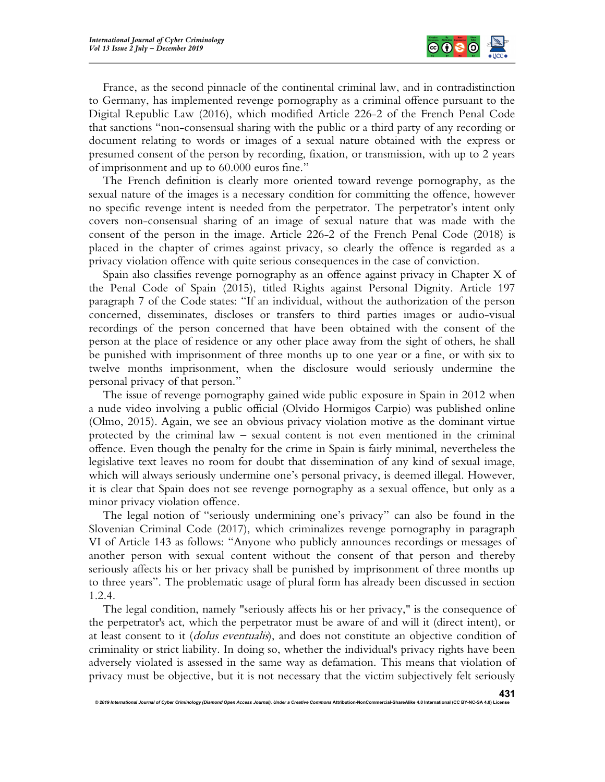

France, as the second pinnacle of the continental criminal law, and in contradistinction to Germany, has implemented revenge pornography as a criminal offence pursuant to the Digital Republic Law (2016), which modified Article 226-2 of the French Penal Code that sanctions "non-consensual sharing with the public or a third party of any recording or document relating to words or images of a sexual nature obtained with the express or presumed consent of the person by recording, fixation, or transmission, with up to 2 years of imprisonment and up to 60.000 euros fine."

The French definition is clearly more oriented toward revenge pornography, as the sexual nature of the images is a necessary condition for committing the offence, however no specific revenge intent is needed from the perpetrator. The perpetrator's intent only covers non-consensual sharing of an image of sexual nature that was made with the consent of the person in the image. Article 226-2 of the French Penal Code (2018) is placed in the chapter of crimes against privacy, so clearly the offence is regarded as a privacy violation offence with quite serious consequences in the case of conviction.

Spain also classifies revenge pornography as an offence against privacy in Chapter X of the Penal Code of Spain (2015), titled Rights against Personal Dignity. Article 197 paragraph 7 of the Code states: "If an individual, without the authorization of the person concerned, disseminates, discloses or transfers to third parties images or audio-visual recordings of the person concerned that have been obtained with the consent of the person at the place of residence or any other place away from the sight of others, he shall be punished with imprisonment of three months up to one year or a fine, or with six to twelve months imprisonment, when the disclosure would seriously undermine the personal privacy of that person."

The issue of revenge pornography gained wide public exposure in Spain in 2012 when a nude video involving a public official (Olvido Hormigos Carpio) was published online (Olmo, 2015). Again, we see an obvious privacy violation motive as the dominant virtue protected by the criminal law – sexual content is not even mentioned in the criminal offence. Even though the penalty for the crime in Spain is fairly minimal, nevertheless the legislative text leaves no room for doubt that dissemination of any kind of sexual image, which will always seriously undermine one's personal privacy, is deemed illegal. However, it is clear that Spain does not see revenge pornography as a sexual offence, but only as a minor privacy violation offence.

The legal notion of "seriously undermining one's privacy" can also be found in the Slovenian Criminal Code (2017), which criminalizes revenge pornography in paragraph VI of Article 143 as follows: "Anyone who publicly announces recordings or messages of another person with sexual content without the consent of that person and thereby seriously affects his or her privacy shall be punished by imprisonment of three months up to three years". The problematic usage of plural form has already been discussed in section 1.2.4.

The legal condition, namely "seriously affects his or her privacy," is the consequence of the perpetrator's act, which the perpetrator must be aware of and will it (direct intent), or at least consent to it *(dolus eventualis)*, and does not constitute an objective condition of criminality or strict liability. In doing so, whether the individual's privacy rights have been adversely violated is assessed in the same way as defamation. This means that violation of privacy must be objective, but it is not necessary that the victim subjectively felt seriously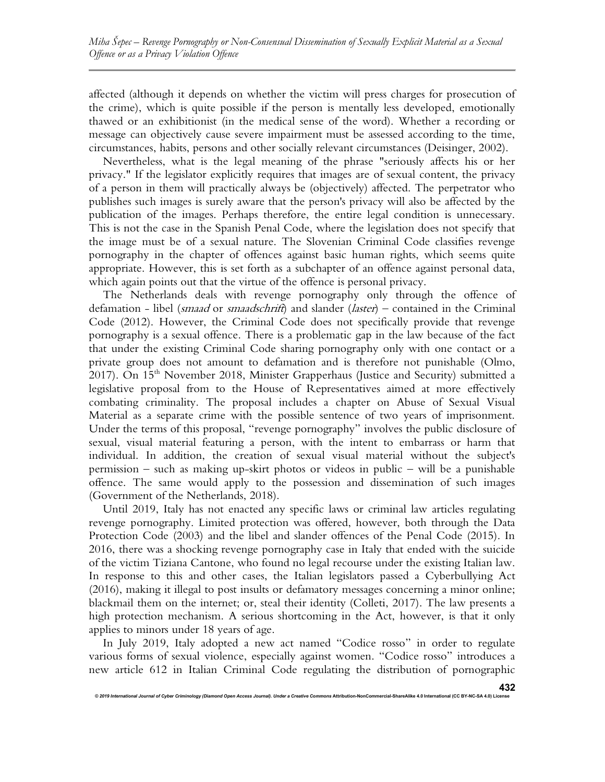affected (although it depends on whether the victim will press charges for prosecution of the crime), which is quite possible if the person is mentally less developed, emotionally thawed or an exhibitionist (in the medical sense of the word). Whether a recording or message can objectively cause severe impairment must be assessed according to the time, circumstances, habits, persons and other socially relevant circumstances (Deisinger, 2002).

Nevertheless, what is the legal meaning of the phrase "seriously affects his or her privacy." If the legislator explicitly requires that images are of sexual content, the privacy of a person in them will practically always be (objectively) affected. The perpetrator who publishes such images is surely aware that the person's privacy will also be affected by the publication of the images. Perhaps therefore, the entire legal condition is unnecessary. This is not the case in the Spanish Penal Code, where the legislation does not specify that the image must be of a sexual nature. The Slovenian Criminal Code classifies revenge pornography in the chapter of offences against basic human rights, which seems quite appropriate. However, this is set forth as a subchapter of an offence against personal data, which again points out that the virtue of the offence is personal privacy.

The Netherlands deals with revenge pornography only through the offence of defamation - libel (*smaad* or *smaadschrift*) and slander (*laster*) – contained in the Criminal Code (2012). However, the Criminal Code does not specifically provide that revenge pornography is a sexual offence. There is a problematic gap in the law because of the fact that under the existing Criminal Code sharing pornography only with one contact or a private group does not amount to defamation and is therefore not punishable (Olmo, 2017). On 15th November 2018, Minister Grapperhaus (Justice and Security) submitted a legislative proposal from to the House of Representatives aimed at more effectively combating criminality. The proposal includes a chapter on Abuse of Sexual Visual Material as a separate crime with the possible sentence of two years of imprisonment. Under the terms of this proposal, "revenge pornography" involves the public disclosure of sexual, visual material featuring a person, with the intent to embarrass or harm that individual. In addition, the creation of sexual visual material without the subject's permission – such as making up-skirt photos or videos in public – will be a punishable offence. The same would apply to the possession and dissemination of such images (Government of the Netherlands, 2018).

Until 2019, Italy has not enacted any specific laws or criminal law articles regulating revenge pornography. Limited protection was offered, however, both through the Data Protection Code (2003) and the libel and slander offences of the Penal Code (2015). In 2016, there was a shocking revenge pornography case in Italy that ended with the suicide of the victim Tiziana Cantone, who found no legal recourse under the existing Italian law. In response to this and other cases, the Italian legislators passed a Cyberbullying Act (2016), making it illegal to post insults or defamatory messages concerning a minor online; blackmail them on the internet; or, steal their identity (Colleti, 2017). The law presents a high protection mechanism. A serious shortcoming in the Act, however, is that it only applies to minors under 18 years of age.

In July 2019, Italy adopted a new act named "Codice rosso" in order to regulate various forms of sexual violence, especially against women. "Codice rosso" introduces a new article 612 in Italian Criminal Code regulating the distribution of pornographic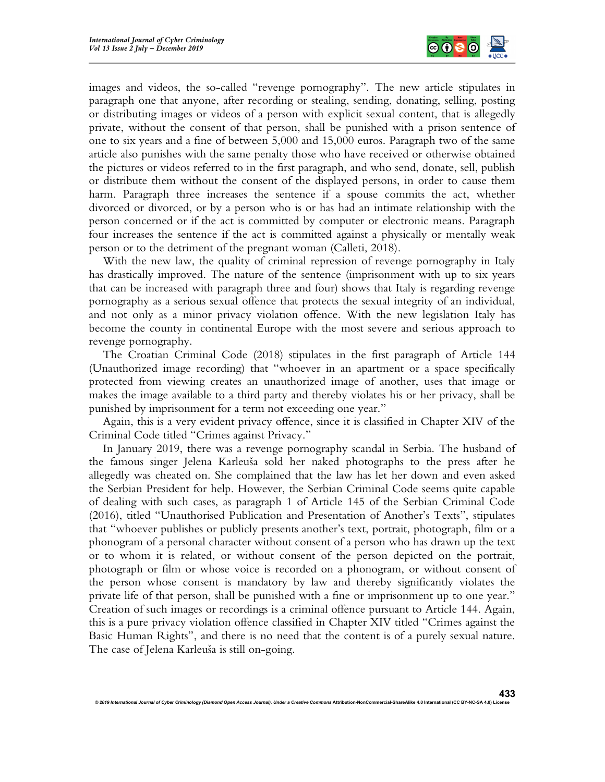

images and videos, the so-called "revenge pornography". The new article stipulates in paragraph one that anyone, after recording or stealing, sending, donating, selling, posting or distributing images or videos of a person with explicit sexual content, that is allegedly private, without the consent of that person, shall be punished with a prison sentence of one to six years and a fine of between 5,000 and 15,000 euros. Paragraph two of the same article also punishes with the same penalty those who have received or otherwise obtained the pictures or videos referred to in the first paragraph, and who send, donate, sell, publish or distribute them without the consent of the displayed persons, in order to cause them harm. Paragraph three increases the sentence if a spouse commits the act, whether divorced or divorced, or by a person who is or has had an intimate relationship with the person concerned or if the act is committed by computer or electronic means. Paragraph four increases the sentence if the act is committed against a physically or mentally weak person or to the detriment of the pregnant woman (Calleti, 2018).

With the new law, the quality of criminal repression of revenge pornography in Italy has drastically improved. The nature of the sentence (imprisonment with up to six years that can be increased with paragraph three and four) shows that Italy is regarding revenge pornography as a serious sexual offence that protects the sexual integrity of an individual, and not only as a minor privacy violation offence. With the new legislation Italy has become the county in continental Europe with the most severe and serious approach to revenge pornography.

The Croatian Criminal Code (2018) stipulates in the first paragraph of Article 144 (Unauthorized image recording) that "whoever in an apartment or a space specifically protected from viewing creates an unauthorized image of another, uses that image or makes the image available to a third party and thereby violates his or her privacy, shall be punished by imprisonment for a term not exceeding one year."

Again, this is a very evident privacy offence, since it is classified in Chapter XIV of the Criminal Code titled "Crimes against Privacy."

In January 2019, there was a revenge pornography scandal in Serbia. The husband of the famous singer Jelena Karleuša sold her naked photographs to the press after he allegedly was cheated on. She complained that the law has let her down and even asked the Serbian President for help. However, the Serbian Criminal Code seems quite capable of dealing with such cases, as paragraph 1 of Article 145 of the Serbian Criminal Code (2016), titled "Unauthorised Publication and Presentation of Another's Texts", stipulates that "whoever publishes or publicly presents another's text, portrait, photograph, film or a phonogram of a personal character without consent of a person who has drawn up the text or to whom it is related, or without consent of the person depicted on the portrait, photograph or film or whose voice is recorded on a phonogram, or without consent of the person whose consent is mandatory by law and thereby significantly violates the private life of that person, shall be punished with a fine or imprisonment up to one year." Creation of such images or recordings is a criminal offence pursuant to Article 144. Again, this is a pure privacy violation offence classified in Chapter XIV titled "Crimes against the Basic Human Rights", and there is no need that the content is of a purely sexual nature. The case of Jelena Karleuša is still on-going.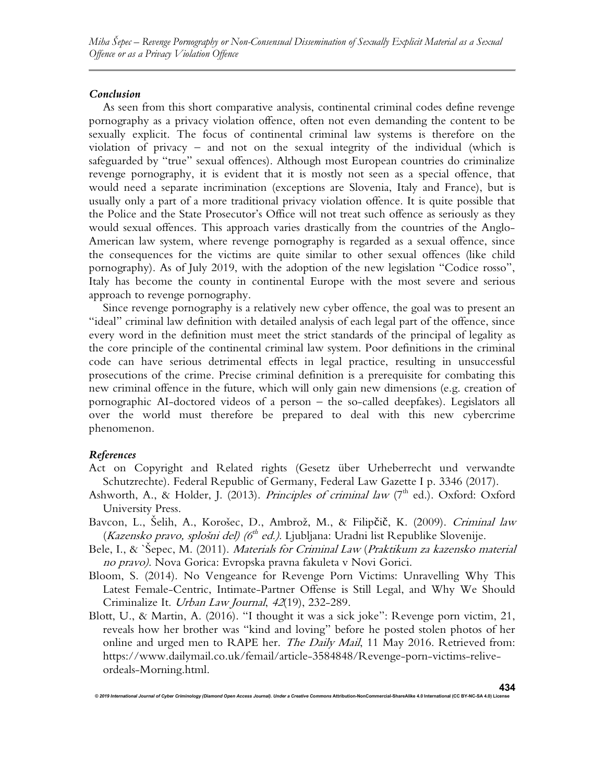# Conclusion

As seen from this short comparative analysis, continental criminal codes define revenge pornography as a privacy violation offence, often not even demanding the content to be sexually explicit. The focus of continental criminal law systems is therefore on the violation of privacy – and not on the sexual integrity of the individual (which is safeguarded by "true" sexual offences). Although most European countries do criminalize revenge pornography, it is evident that it is mostly not seen as a special offence, that would need a separate incrimination (exceptions are Slovenia, Italy and France), but is usually only a part of a more traditional privacy violation offence. It is quite possible that the Police and the State Prosecutor's Office will not treat such offence as seriously as they would sexual offences. This approach varies drastically from the countries of the Anglo-American law system, where revenge pornography is regarded as a sexual offence, since the consequences for the victims are quite similar to other sexual offences (like child pornography). As of July 2019, with the adoption of the new legislation "Codice rosso", Italy has become the county in continental Europe with the most severe and serious approach to revenge pornography.

Since revenge pornography is a relatively new cyber offence, the goal was to present an "ideal" criminal law definition with detailed analysis of each legal part of the offence, since every word in the definition must meet the strict standards of the principal of legality as the core principle of the continental criminal law system. Poor definitions in the criminal code can have serious detrimental effects in legal practice, resulting in unsuccessful prosecutions of the crime. Precise criminal definition is a prerequisite for combating this new criminal offence in the future, which will only gain new dimensions (e.g. creation of pornographic AI-doctored videos of a person – the so-called deepfakes). Legislators all over the world must therefore be prepared to deal with this new cybercrime phenomenon.

# References

- Act on Copyright and Related rights (Gesetz über Urheberrecht und verwandte Schutzrechte). Federal Republic of Germany, Federal Law Gazette I p. 3346 (2017).
- Ashworth, A., & Holder, J. (2013). Principles of criminal law  $(7<sup>th</sup>$  ed.). Oxford: Oxford University Press.
- Bavcon, L., Šelih, A., Korošec, D., Ambrož, M., & Filipčič, K. (2009). Criminal law (Kazensko pravo, splošni del) (6<sup>th</sup> ed.). Ljubljana: Uradni list Republike Slovenije.
- Bele, I., & `Šepec, M. (2011). Materials for Criminal Law (Praktikum za kazensko material no pravo). Nova Gorica: Evropska pravna fakuleta v Novi Gorici.
- Bloom, S. (2014). No Vengeance for Revenge Porn Victims: Unravelling Why This Latest Female-Centric, Intimate-Partner Offense is Still Legal, and Why We Should Criminalize It. Urban Law Journal, 42(19), 232-289.
- Blott, U., & Martin, A. (2016). "I thought it was a sick joke": Revenge porn victim, 21, reveals how her brother was "kind and loving" before he posted stolen photos of her online and urged men to RAPE her. The Daily Mail, 11 May 2016. Retrieved from: https://www.dailymail.co.uk/femail/article-3584848/Revenge-porn-victims-reliveordeals-Morning.html.

© 2019 International Journal of Cyber Criminology (Diamond Open Access Journal). Under a Creative Com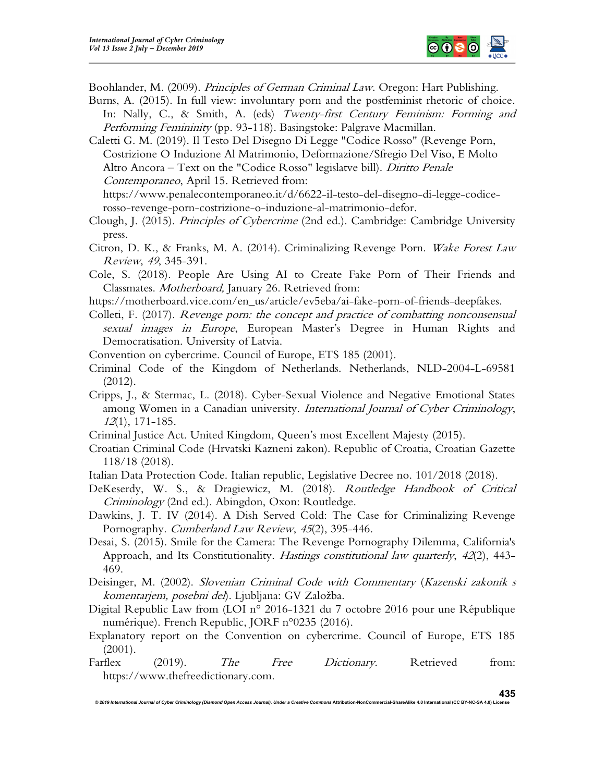

Boohlander, M. (2009). *Principles of German Criminal Law*. Oregon: Hart Publishing.

Burns, A. (2015). In full view: involuntary porn and the postfeminist rhetoric of choice. In: Nally, C., & Smith, A. (eds) Twenty-first Century Feminism: Forming and Performing Femininity (pp. 93-118). Basingstoke: Palgrave Macmillan.

Caletti G. M. (2019). Il Testo Del Disegno Di Legge "Codice Rosso" (Revenge Porn, Costrizione O Induzione Al Matrimonio, Deformazione/Sfregio Del Viso, E Molto Altro Ancora – Text on the "Codice Rosso" legislatve bill). Diritto Penale Contemporaneo, April 15. Retrieved from:

https://www.penalecontemporaneo.it/d/6622-il-testo-del-disegno-di-legge-codicerosso-revenge-porn-costrizione-o-induzione-al-matrimonio-defor.

Clough, J. (2015). Principles of Cybercrime (2nd ed.). Cambridge: Cambridge University press.

Citron, D. K., & Franks, M. A. (2014). Criminalizing Revenge Porn. Wake Forest Law Review, 49, 345-391.

Cole, S. (2018). People Are Using AI to Create Fake Porn of Their Friends and Classmates. Motherboard, January 26. Retrieved from:

- https://motherboard.vice.com/en\_us/article/ev5eba/ai-fake-porn-of-friends-deepfakes.
- Colleti, F. (2017). Revenge porn: the concept and practice of combatting nonconsensual sexual images in Europe, European Master's Degree in Human Rights and Democratisation. University of Latvia.
- Convention on cybercrime. Council of Europe, ETS 185 (2001).
- Criminal Code of the Kingdom of Netherlands. Netherlands, NLD-2004-L-69581 (2012).
- Cripps, J., & Stermac, L. (2018). Cyber-Sexual Violence and Negative Emotional States among Women in a Canadian university. *International Journal of Cyber Criminology*, <sup>12</sup>(1), 171-185.
- Criminal Justice Act. United Kingdom, Queen's most Excellent Majesty (2015).
- Croatian Criminal Code (Hrvatski Kazneni zakon). Republic of Croatia, Croatian Gazette 118/18 (2018).
- Italian Data Protection Code. Italian republic, Legislative Decree no. 101/2018 (2018).
- DeKeserdy, W. S., & Dragiewicz, M. (2018). Routledge Handbook of Critical Criminology (2nd ed.). Abingdon, Oxon: Routledge.
- Dawkins, J. T. IV (2014). A Dish Served Cold: The Case for Criminalizing Revenge Pornography. Cumberland Law Review, 45(2), 395-446.
- Desai, S. (2015). Smile for the Camera: The Revenge Pornography Dilemma, California's Approach, and Its Constitutionality. *Hastings constitutional law quarterly*, 42(2), 443-469.
- Deisinger, M. (2002). Slovenian Criminal Code with Commentary (Kazenski zakonik s komentarjem, posebni del). Ljubljana: GV Založba.
- Digital Republic Law from (LOI n° 2016-1321 du 7 octobre 2016 pour une République numérique). French Republic, JORF n°0235 (2016).
- Explanatory report on the Convention on cybercrime. Council of Europe, ETS 185 (2001).
- Farflex (2019). The Free Dictionary. Retrieved from: https://www.thefreedictionary.com.

© 2019 International Journal of Cyber Criminology (Diamond Open Access Journal). Under a Creative Commons Attribution-NonCommercial-ShareAlike 4.0 International (CC BY-NC-SA 4.0) Licens

435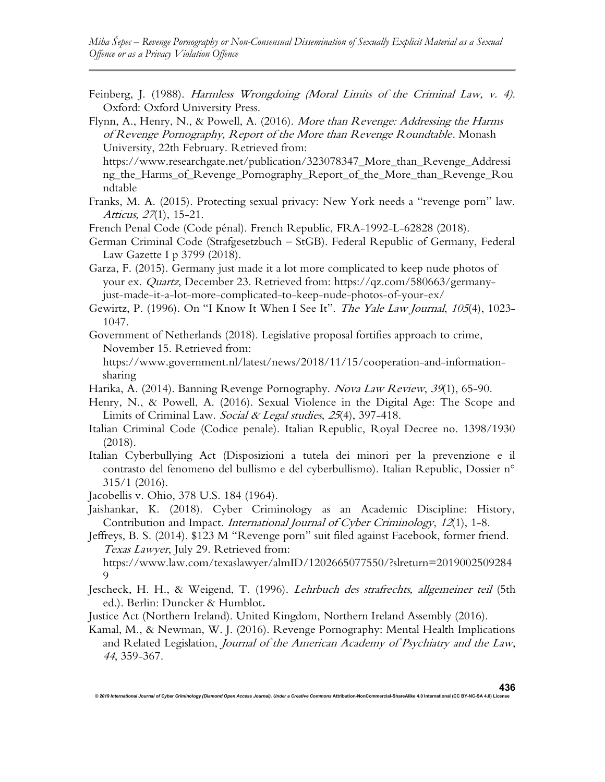Feinberg, J. (1988). Harmless Wrongdoing (Moral Limits of the Criminal Law, v. 4). Oxford: Oxford University Press.

Flynn, A., Henry, N., & Powell, A. (2016). More than Revenge: Addressing the Harms of Revenge Pornography, Report of the More than Revenge Roundtable. Monash University, 22th February. Retrieved from:

https://www.researchgate.net/publication/323078347\_More\_than\_Revenge\_Addressi ng\_the\_Harms\_of\_Revenge\_Pornography\_Report\_of\_the\_More\_than\_Revenge\_Rou ndtable

Franks, M. A. (2015). Protecting sexual privacy: New York needs a "revenge porn" law. Atticus, 27(1), 15-21.

French Penal Code (Code pénal). French Republic, FRA-1992-L-62828 (2018).

German Criminal Code (Strafgesetzbuch – StGB). Federal Republic of Germany, Federal Law Gazette I p 3799 (2018).

Garza, F. (2015). Germany just made it a lot more complicated to keep nude photos of your ex. Quartz, December 23. Retrieved from: https://qz.com/580663/germanyjust-made-it-a-lot-more-complicated-to-keep-nude-photos-of-your-ex/

Gewirtz, P. (1996). On "I Know It When I See It". The Yale Law Journal, 105(4), 1023- 1047.

Government of Netherlands (2018). Legislative proposal fortifies approach to crime, November 15. Retrieved from:

https://www.government.nl/latest/news/2018/11/15/cooperation-and-informationsharing

- Harika, A. (2014). Banning Revenge Pornography. Nova Law Review, 39(1), 65-90.
- Henry, N., & Powell, A. (2016). Sexual Violence in the Digital Age: The Scope and Limits of Criminal Law. Social & Legal studies, 25(4), 397-418.
- Italian Criminal Code (Codice penale). Italian Republic, Royal Decree no. 1398/1930 (2018).
- Italian Cyberbullying Act (Disposizioni a tutela dei minori per la prevenzione e il contrasto del fenomeno del bullismo e del cyberbullismo). Italian Republic, Dossier n° 315/1 (2016).

Jacobellis v. Ohio, 378 U.S. 184 (1964).

Jaishankar, K. (2018). Cyber Criminology as an Academic Discipline: History, Contribution and Impact. International Journal of Cyber Criminology, 12(1), 1-8.

Jeffreys, B. S. (2014). \$123 M "Revenge porn" suit filed against Facebook, former friend. Texas Lawyer, July 29. Retrieved from:

https://www.law.com/texaslawyer/almID/1202665077550/?slreturn=2019002509284  $\mathbf Q$ 

Jescheck, H. H., & Weigend, T. (1996). Lehrbuch des strafrechts, allgemeiner teil (5th ed.). Berlin: Duncker & Humblot.

Justice Act (Northern Ireland). United Kingdom, Northern Ireland Assembly (2016).

Kamal, M., & Newman, W. J. (2016). Revenge Pornography: Mental Health Implications and Related Legislation, Journal of the American Academy of Psychiatry and the Law, 44, 359-367.

© 2019 International Journal of Cyber Criminology (Diamond Open Access Journal). Under a Creative Commons Attribution-NonCommercial-ShareAlike 4.0 International (CC BY-NC-SA 4.0) License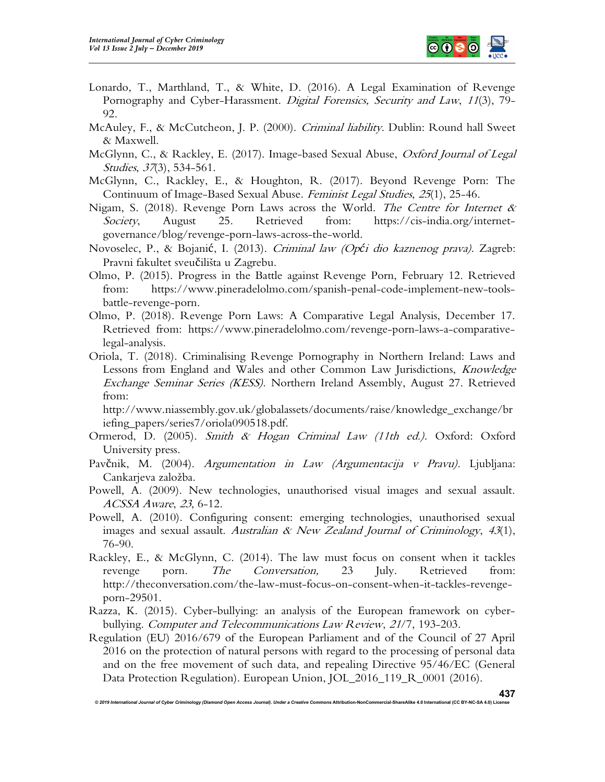

- Lonardo, T., Marthland, T., & White, D. (2016). A Legal Examination of Revenge Pornography and Cyber-Harassment. *Digital Forensics, Security and Law*, 11(3), 79-92.
- McAuley, F., & McCutcheon, J. P. (2000). *Criminal liability*. Dublin: Round hall Sweet & Maxwell.
- McGlynn, C., & Rackley, E. (2017). Image-based Sexual Abuse, *Oxford Journal of Legal* Studies, 37(3), 534-561.
- McGlynn, C., Rackley, E., & Houghton, R. (2017). Beyond Revenge Porn: The Continuum of Image-Based Sexual Abuse. Feminist Legal Studies, 25(1), 25-46.
- Nigam, S. (2018). Revenge Porn Laws across the World. The Centre for Internet  $\&$ Society, August 25. Retrieved from: https://cis-india.org/internetgovernance/blog/revenge-porn-laws-across-the-world.
- Novoselec, P., & Bojanić, I. (2013). Criminal law (Opći dio kaznenog prava). Zagreb: Pravni fakultet sveučilišta u Zagrebu.
- Olmo, P. (2015). Progress in the Battle against Revenge Porn, February 12. Retrieved from: https://www.pineradelolmo.com/spanish-penal-code-implement-new-toolsbattle-revenge-porn.
- Olmo, P. (2018). Revenge Porn Laws: A Comparative Legal Analysis, December 17. Retrieved from: https://www.pineradelolmo.com/revenge-porn-laws-a-comparativelegal-analysis.
- Oriola, T. (2018). Criminalising Revenge Pornography in Northern Ireland: Laws and Lessons from England and Wales and other Common Law Jurisdictions, Knowledge Exchange Seminar Series (KESS). Northern Ireland Assembly, August 27. Retrieved from:

http://www.niassembly.gov.uk/globalassets/documents/raise/knowledge\_exchange/br iefing\_papers/series7/oriola090518.pdf.

- Ormerod, D. (2005). Smith & Hogan Criminal Law (11th ed.). Oxford: Oxford University press.
- Pavčnik, M. (2004). Argumentation in Law (Argumentacija v Pravu). Ljubljana: Cankarjeva založba.
- Powell, A. (2009). New technologies, unauthorised visual images and sexual assault. ACSSA Aware, 23, 6-12.
- Powell, A. (2010). Configuring consent: emerging technologies, unauthorised sexual images and sexual assault. Australian & New Zealand Journal of Criminology,  $43(1)$ , 76-90.
- Rackley, E., & McGlynn, C. (2014). The law must focus on consent when it tackles revenge porn. *The Conversation*, 23 July. Retrieved from: http://theconversation.com/the-law-must-focus-on-consent-when-it-tackles-revengeporn-29501.
- Razza, K. (2015). Cyber-bullying: an analysis of the European framework on cyberbullying. Computer and Telecommunications Law Review, 21/7, 193-203.
- Regulation (EU) 2016/679 of the European Parliament and of the Council of 27 April 2016 on the protection of natural persons with regard to the processing of personal data and on the free movement of such data, and repealing Directive 95/46/EC (General Data Protection Regulation). European Union, JOL 2016 119 R 0001 (2016).